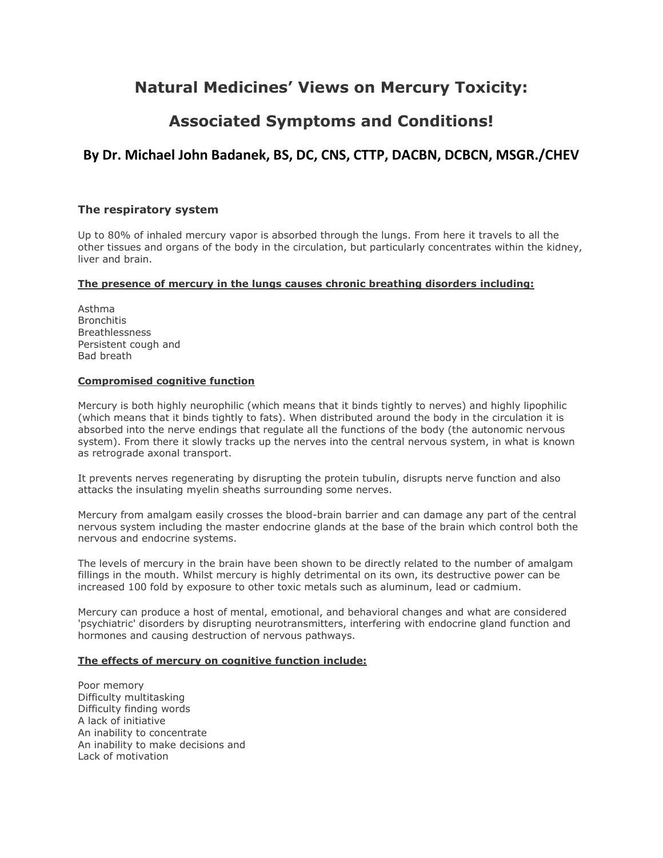## **Natural Medicines' Views on Mercury Toxicity:**

# **Associated Symptoms and Conditions!**

## **By Dr. Michael John Badanek, BS, DC, CNS, CTTP, DACBN, DCBCN, MSGR./CHEV**

## **The respiratory system**

Up to 80% of inhaled mercury vapor is absorbed through the lungs. From here it travels to all the other tissues and organs of the body in the circulation, but particularly concentrates within the kidney, liver and brain.

## **The presence of mercury in the lungs causes chronic breathing disorders including:**

Asthma **Bronchitis Breathlessness** Persistent cough and Bad breath

## **Compromised cognitive function**

Mercury is both highly neurophilic (which means that it binds tightly to nerves) and highly lipophilic (which means that it binds tightly to fats). When distributed around the body in the circulation it is absorbed into the nerve endings that regulate all the functions of the body (the autonomic nervous system). From there it slowly tracks up the nerves into the central nervous system, in what is known as retrograde axonal transport.

It prevents nerves regenerating by disrupting the protein tubulin, disrupts nerve function and also attacks the insulating myelin sheaths surrounding some nerves.

Mercury from amalgam easily crosses the blood-brain barrier and can damage any part of the central nervous system including the master endocrine glands at the base of the brain which control both the nervous and endocrine systems.

The levels of mercury in the brain have been shown to be directly related to the number of amalgam fillings in the mouth. Whilst mercury is highly detrimental on its own, its destructive power can be increased 100 fold by exposure to other toxic metals such as aluminum, lead or cadmium.

Mercury can produce a host of mental, emotional, and behavioral changes and what are considered 'psychiatric' disorders by disrupting neurotransmitters, interfering with endocrine gland function and hormones and causing destruction of nervous pathways.

## **The effects of mercury on cognitive function include:**

Poor memory Difficulty multitasking Difficulty finding words A lack of initiative An inability to concentrate An inability to make decisions and Lack of motivation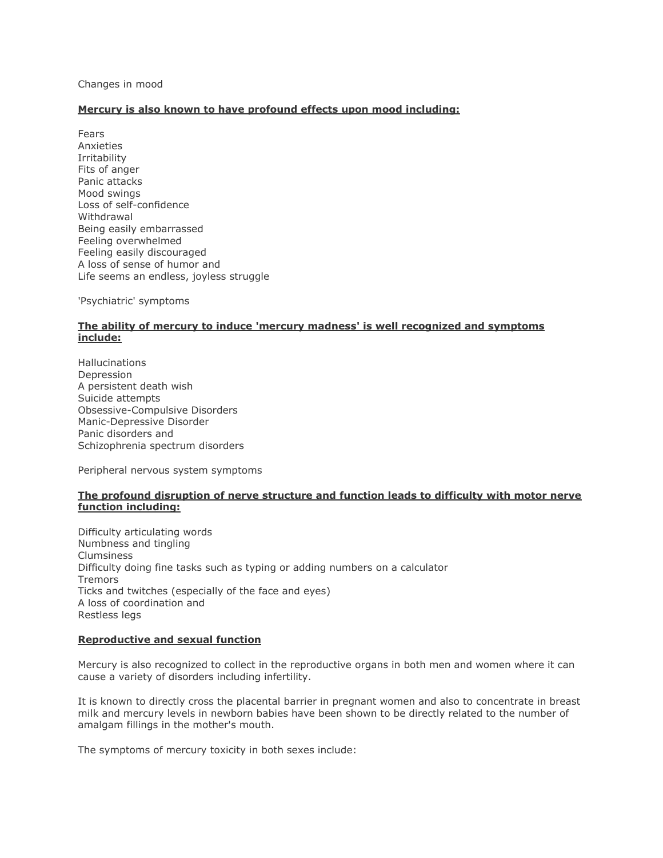Changes in mood

## **Mercury is also known to have profound effects upon mood including:**

Fears Anxieties Irritability Fits of anger Panic attacks Mood swings Loss of self-confidence Withdrawal Being easily embarrassed Feeling overwhelmed Feeling easily discouraged A loss of sense of humor and Life seems an endless, joyless struggle

'Psychiatric' symptoms

## **The ability of mercury to induce 'mercury madness' is well recognized and symptoms include:**

Hallucinations Depression A persistent death wish Suicide attempts Obsessive-Compulsive Disorders Manic-Depressive Disorder Panic disorders and Schizophrenia spectrum disorders

Peripheral nervous system symptoms

## **The profound disruption of nerve structure and function leads to difficulty with motor nerve function including:**

Difficulty articulating words Numbness and tingling Clumsiness Difficulty doing fine tasks such as typing or adding numbers on a calculator Tremors Ticks and twitches (especially of the face and eyes) A loss of coordination and Restless legs

## **Reproductive and sexual function**

Mercury is also recognized to collect in the reproductive organs in both men and women where it can cause a variety of disorders including infertility.

It is known to directly cross the placental barrier in pregnant women and also to concentrate in breast milk and mercury levels in newborn babies have been shown to be directly related to the number of amalgam fillings in the mother's mouth.

The symptoms of mercury toxicity in both sexes include: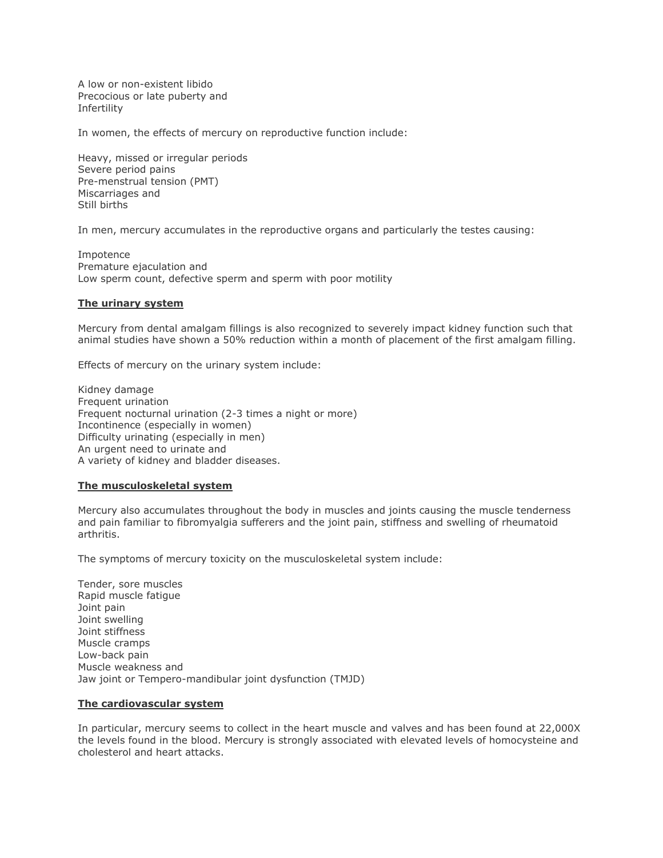A low or non-existent libido Precocious or late puberty and Infertility

In women, the effects of mercury on reproductive function include:

Heavy, missed or irregular periods Severe period pains Pre-menstrual tension (PMT) Miscarriages and Still births

In men, mercury accumulates in the reproductive organs and particularly the testes causing:

Impotence Premature ejaculation and Low sperm count, defective sperm and sperm with poor motility

#### **The urinary system**

Mercury from dental amalgam fillings is also recognized to severely impact kidney function such that animal studies have shown a 50% reduction within a month of placement of the first amalgam filling.

Effects of mercury on the urinary system include:

Kidney damage Frequent urination Frequent nocturnal urination (2-3 times a night or more) Incontinence (especially in women) Difficulty urinating (especially in men) An urgent need to urinate and A variety of kidney and bladder diseases.

#### **The musculoskeletal system**

Mercury also accumulates throughout the body in muscles and joints causing the muscle tenderness and pain familiar to fibromyalgia sufferers and the joint pain, stiffness and swelling of rheumatoid arthritis.

The symptoms of mercury toxicity on the musculoskeletal system include:

Tender, sore muscles Rapid muscle fatigue Joint pain Joint swelling Joint stiffness Muscle cramps Low-back pain Muscle weakness and Jaw joint or Tempero-mandibular joint dysfunction (TMJD)

#### **The cardiovascular system**

In particular, mercury seems to collect in the heart muscle and valves and has been found at 22,000X the levels found in the blood. Mercury is strongly associated with elevated levels of homocysteine and cholesterol and heart attacks.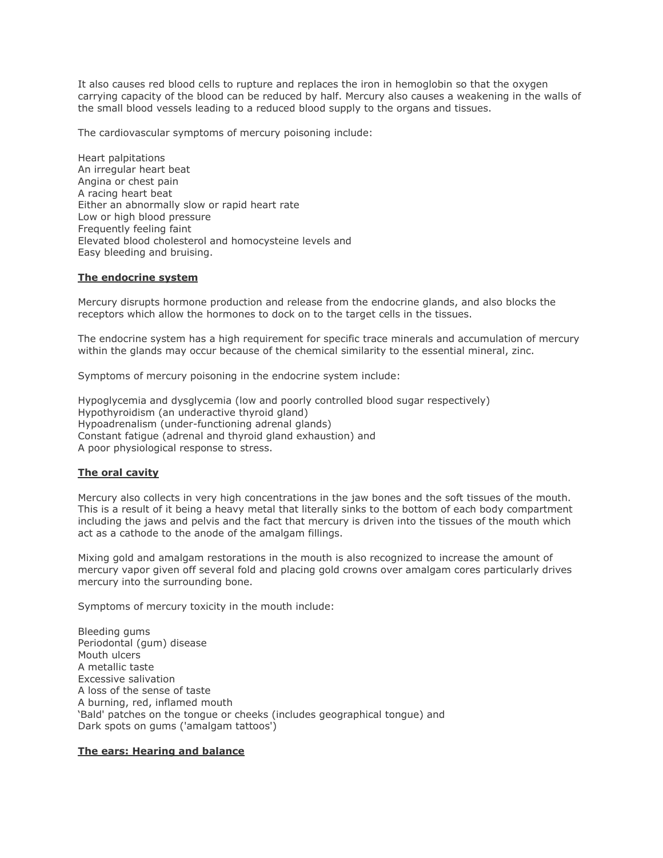It also causes red blood cells to rupture and replaces the iron in hemoglobin so that the oxygen carrying capacity of the blood can be reduced by half. Mercury also causes a weakening in the walls of the small blood vessels leading to a reduced blood supply to the organs and tissues.

The cardiovascular symptoms of mercury poisoning include:

Heart palpitations An irregular heart beat Angina or chest pain A racing heart beat Either an abnormally slow or rapid heart rate Low or high blood pressure Frequently feeling faint Elevated blood cholesterol and homocysteine levels and Easy bleeding and bruising.

#### **The endocrine system**

Mercury disrupts hormone production and release from the endocrine glands, and also blocks the receptors which allow the hormones to dock on to the target cells in the tissues.

The endocrine system has a high requirement for specific trace minerals and accumulation of mercury within the glands may occur because of the chemical similarity to the essential mineral, zinc.

Symptoms of mercury poisoning in the endocrine system include:

Hypoglycemia and dysglycemia (low and poorly controlled blood sugar respectively) Hypothyroidism (an underactive thyroid gland) Hypoadrenalism (under-functioning adrenal glands) Constant fatigue (adrenal and thyroid gland exhaustion) and A poor physiological response to stress.

#### **The oral cavity**

Mercury also collects in very high concentrations in the jaw bones and the soft tissues of the mouth. This is a result of it being a heavy metal that literally sinks to the bottom of each body compartment including the jaws and pelvis and the fact that mercury is driven into the tissues of the mouth which act as a cathode to the anode of the amalgam fillings.

Mixing gold and amalgam restorations in the mouth is also recognized to increase the amount of mercury vapor given off several fold and placing gold crowns over amalgam cores particularly drives mercury into the surrounding bone.

Symptoms of mercury toxicity in the mouth include:

Bleeding gums Periodontal (gum) disease Mouth ulcers A metallic taste Excessive salivation A loss of the sense of taste A burning, red, inflamed mouth 'Bald' patches on the tongue or cheeks (includes geographical tongue) and Dark spots on gums ('amalgam tattoos')

#### **The ears: Hearing and balance**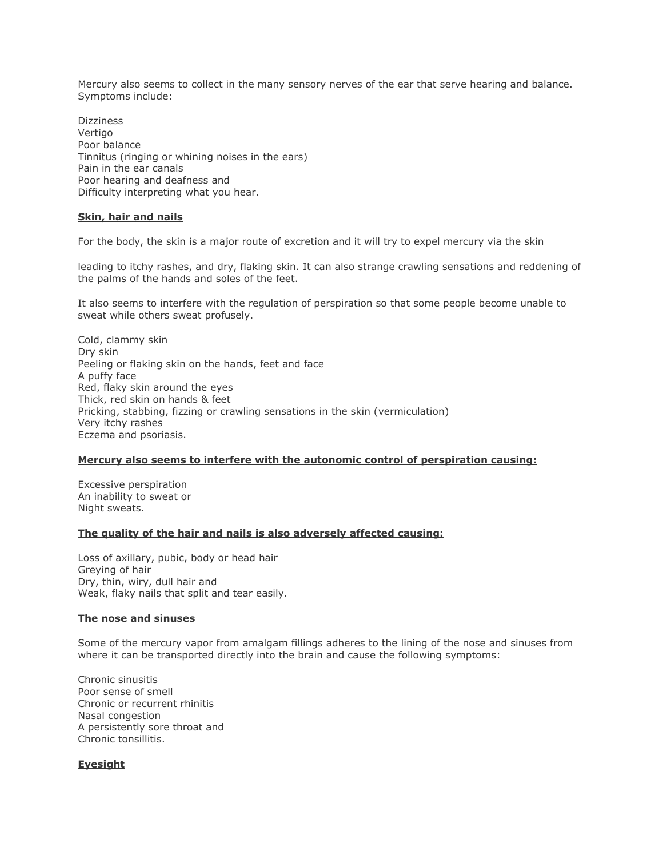Mercury also seems to collect in the many sensory nerves of the ear that serve hearing and balance. Symptoms include:

**Dizziness** Vertigo Poor balance Tinnitus (ringing or whining noises in the ears) Pain in the ear canals Poor hearing and deafness and Difficulty interpreting what you hear.

## **Skin, hair and nails**

For the body, the skin is a major route of excretion and it will try to expel mercury via the skin

leading to itchy rashes, and dry, flaking skin. It can also strange crawling sensations and reddening of the palms of the hands and soles of the feet.

It also seems to interfere with the regulation of perspiration so that some people become unable to sweat while others sweat profusely.

Cold, clammy skin Dry skin Peeling or flaking skin on the hands, feet and face A puffy face Red, flaky skin around the eyes Thick, red skin on hands & feet Pricking, stabbing, fizzing or crawling sensations in the skin (vermiculation) Very itchy rashes Eczema and psoriasis.

#### **Mercury also seems to interfere with the autonomic control of perspiration causing:**

Excessive perspiration An inability to sweat or Night sweats.

#### **The quality of the hair and nails is also adversely affected causing:**

Loss of axillary, pubic, body or head hair Greying of hair Dry, thin, wiry, dull hair and Weak, flaky nails that split and tear easily.

#### **The nose and sinuses**

Some of the mercury vapor from amalgam fillings adheres to the lining of the nose and sinuses from where it can be transported directly into the brain and cause the following symptoms:

Chronic sinusitis Poor sense of smell Chronic or recurrent rhinitis Nasal congestion A persistently sore throat and Chronic tonsillitis.

#### **Eyesight**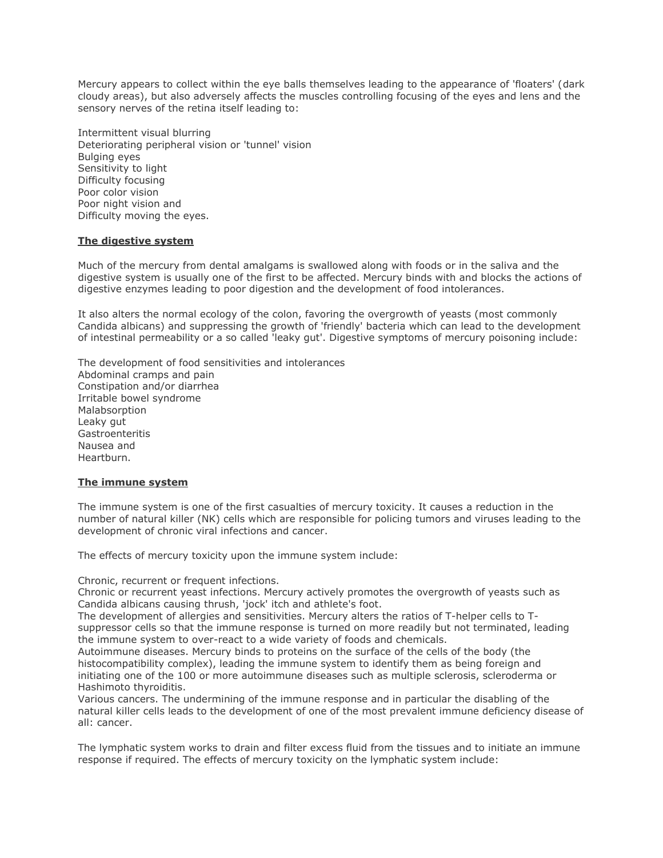Mercury appears to collect within the eye balls themselves leading to the appearance of 'floaters' (dark cloudy areas), but also adversely affects the muscles controlling focusing of the eyes and lens and the sensory nerves of the retina itself leading to:

Intermittent visual blurring Deteriorating peripheral vision or 'tunnel' vision Bulging eyes Sensitivity to light Difficulty focusing Poor color vision Poor night vision and Difficulty moving the eyes.

#### **The digestive system**

Much of the mercury from dental amalgams is swallowed along with foods or in the saliva and the digestive system is usually one of the first to be affected. Mercury binds with and blocks the actions of digestive enzymes leading to poor digestion and the development of food intolerances.

It also alters the normal ecology of the colon, favoring the overgrowth of yeasts (most commonly Candida albicans) and suppressing the growth of 'friendly' bacteria which can lead to the development of intestinal permeability or a so called 'leaky gut'. Digestive symptoms of mercury poisoning include:

The development of food sensitivities and intolerances Abdominal cramps and pain Constipation and/or diarrhea Irritable bowel syndrome Malabsorption Leaky gut Gastroenteritis Nausea and Heartburn.

## **The immune system**

The immune system is one of the first casualties of mercury toxicity. It causes a reduction in the number of natural killer (NK) cells which are responsible for policing tumors and viruses leading to the development of chronic viral infections and cancer.

The effects of mercury toxicity upon the immune system include:

#### Chronic, recurrent or frequent infections.

Chronic or recurrent yeast infections. Mercury actively promotes the overgrowth of yeasts such as Candida albicans causing thrush, 'jock' itch and athlete's foot.

The development of allergies and sensitivities. Mercury alters the ratios of T-helper cells to Tsuppressor cells so that the immune response is turned on more readily but not terminated, leading the immune system to over-react to a wide variety of foods and chemicals.

Autoimmune diseases. Mercury binds to proteins on the surface of the cells of the body (the histocompatibility complex), leading the immune system to identify them as being foreign and initiating one of the 100 or more autoimmune diseases such as multiple sclerosis, scleroderma or Hashimoto thyroiditis.

Various cancers. The undermining of the immune response and in particular the disabling of the natural killer cells leads to the development of one of the most prevalent immune deficiency disease of all: cancer.

The lymphatic system works to drain and filter excess fluid from the tissues and to initiate an immune response if required. The effects of mercury toxicity on the lymphatic system include: